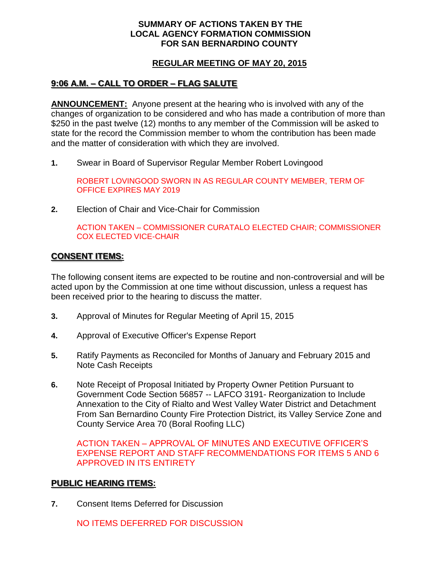#### **SUMMARY OF ACTIONS TAKEN BY THE LOCAL AGENCY FORMATION COMMISSION FOR SAN BERNARDINO COUNTY**

## **REGULAR MEETING OF MAY 20, 2015**

# **9:06 A.M. – CALL TO ORDER – FLAG SALUTE**

**ANNOUNCEMENT:** Anyone present at the hearing who is involved with any of the changes of organization to be considered and who has made a contribution of more than \$250 in the past twelve (12) months to any member of the Commission will be asked to state for the record the Commission member to whom the contribution has been made and the matter of consideration with which they are involved.

**1.** Swear in Board of Supervisor Regular Member Robert Lovingood

ROBERT LOVINGOOD SWORN IN AS REGULAR COUNTY MEMBER, TERM OF OFFICE EXPIRES MAY 2019

**2.** Election of Chair and Vice-Chair for Commission

ACTION TAKEN – COMMISSIONER CURATALO ELECTED CHAIR; COMMISSIONER COX ELECTED VICE-CHAIR

#### **CONSENT ITEMS:**

The following consent items are expected to be routine and non-controversial and will be acted upon by the Commission at one time without discussion, unless a request has been received prior to the hearing to discuss the matter.

- **3.** Approval of Minutes for Regular Meeting of April 15, 2015
- **4.** Approval of Executive Officer's Expense Report
- **5.** Ratify Payments as Reconciled for Months of January and February 2015 and Note Cash Receipts
- **6.** Note Receipt of Proposal Initiated by Property Owner Petition Pursuant to Government Code Section 56857 -- LAFCO 3191- Reorganization to Include Annexation to the City of Rialto and West Valley Water District and Detachment From San Bernardino County Fire Protection District, its Valley Service Zone and County Service Area 70 (Boral Roofing LLC)

ACTION TAKEN – APPROVAL OF MINUTES AND EXECUTIVE OFFICER'S EXPENSE REPORT AND STAFF RECOMMENDATIONS FOR ITEMS 5 AND 6 APPROVED IN ITS ENTIRETY

#### **PUBLIC HEARING ITEMS:**

**7.** Consent Items Deferred for Discussion

NO ITEMS DEFERRED FOR DISCUSSION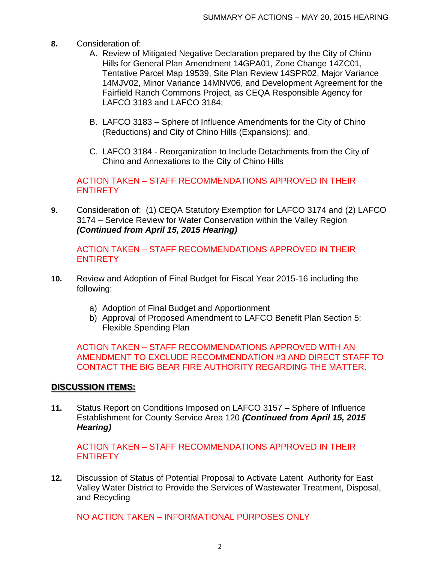- **8.** Consideration of:
	- A. Review of Mitigated Negative Declaration prepared by the City of Chino Hills for General Plan Amendment 14GPA01, Zone Change 14ZC01, Tentative Parcel Map 19539, Site Plan Review 14SPR02, Major Variance 14MJV02, Minor Variance 14MNV06, and Development Agreement for the Fairfield Ranch Commons Project, as CEQA Responsible Agency for LAFCO 3183 and LAFCO 3184;
	- B. LAFCO 3183 Sphere of Influence Amendments for the City of Chino (Reductions) and City of Chino Hills (Expansions); and,
	- C. LAFCO 3184 Reorganization to Include Detachments from the City of Chino and Annexations to the City of Chino Hills

ACTION TAKEN – STAFF RECOMMENDATIONS APPROVED IN THEIR **ENTIRETY** 

**9.** Consideration of: (1) CEQA Statutory Exemption for LAFCO 3174 and (2) LAFCO 3174 – Service Review for Water Conservation within the Valley Region *(Continued from April 15, 2015 Hearing)*

ACTION TAKEN – STAFF RECOMMENDATIONS APPROVED IN THEIR **ENTIRETY** 

- **10.** Review and Adoption of Final Budget for Fiscal Year 2015-16 including the following:
	- a) Adoption of Final Budget and Apportionment
	- b) Approval of Proposed Amendment to LAFCO Benefit Plan Section 5: Flexible Spending Plan

ACTION TAKEN – STAFF RECOMMENDATIONS APPROVED WITH AN AMENDMENT TO EXCLUDE RECOMMENDATION #3 AND DIRECT STAFF TO CONTACT THE BIG BEAR FIRE AUTHORITY REGARDING THE MATTER.

#### **DISCUSSION ITEMS:**

**11.** Status Report on Conditions Imposed on LAFCO 3157 – Sphere of Influence Establishment for County Service Area 120 *(Continued from April 15, 2015 Hearing)*

ACTION TAKEN – STAFF RECOMMENDATIONS APPROVED IN THEIR **ENTIRETY** 

**12.** Discussion of Status of Potential Proposal to Activate Latent Authority for East Valley Water District to Provide the Services of Wastewater Treatment, Disposal, and Recycling

NO ACTION TAKEN – INFORMATIONAL PURPOSES ONLY